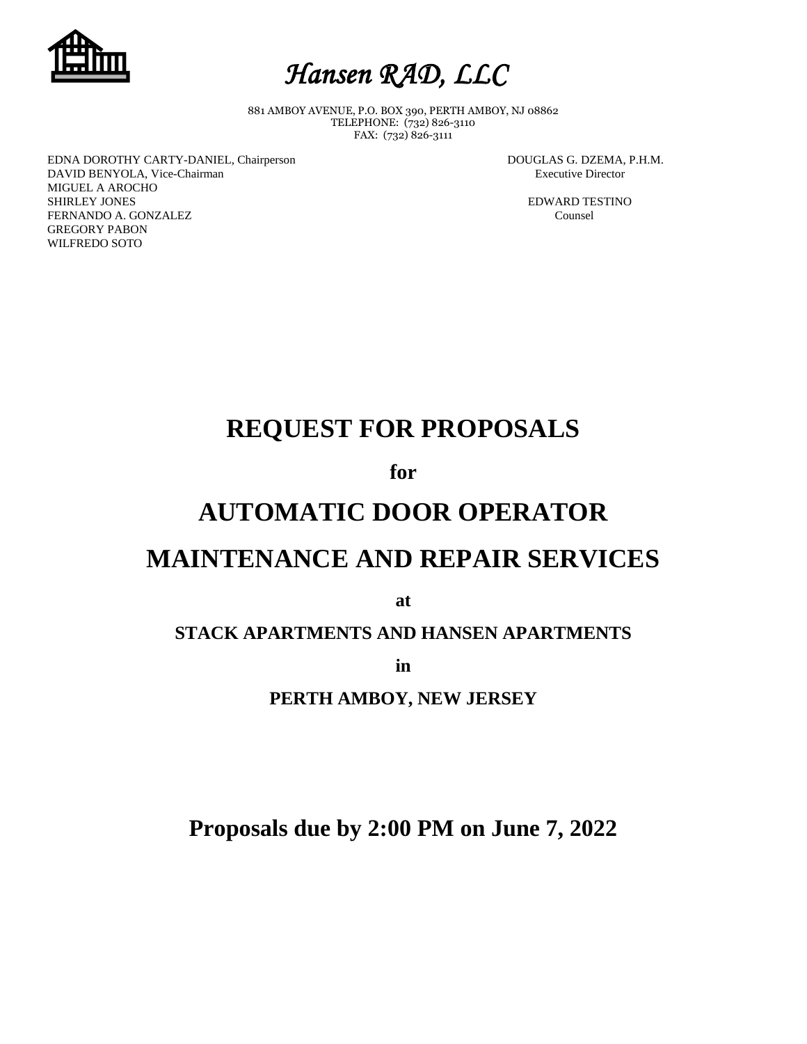



881 AMBOY AVENUE, P.O. BOX 390, PERTH AMBOY, NJ 08862 TELEPHONE: (732) 826-3110 FAX: (732) 826-3111

EDNA DOROTHY CARTY-DANIEL, Chairperson DOUGLAS G. DZEMA, P.H.M. DAVID BENYOLA, Vice-Chairman **Executive Director** Executive Director MIGUEL A AROCHO SHIRLEY JONES **EDWARD TESTINO** FERNANDO A. GONZALEZ Counsel GREGORY PABON WILFREDO SOTO

# **REQUEST FOR PROPOSALS**

**for**

# **AUTOMATIC DOOR OPERATOR**

# **MAINTENANCE AND REPAIR SERVICES**

**at**

## **STACK APARTMENTS AND HANSEN APARTMENTS**

**in** 

**PERTH AMBOY, NEW JERSEY**

**Proposals due by 2:00 PM on June 7, 2022**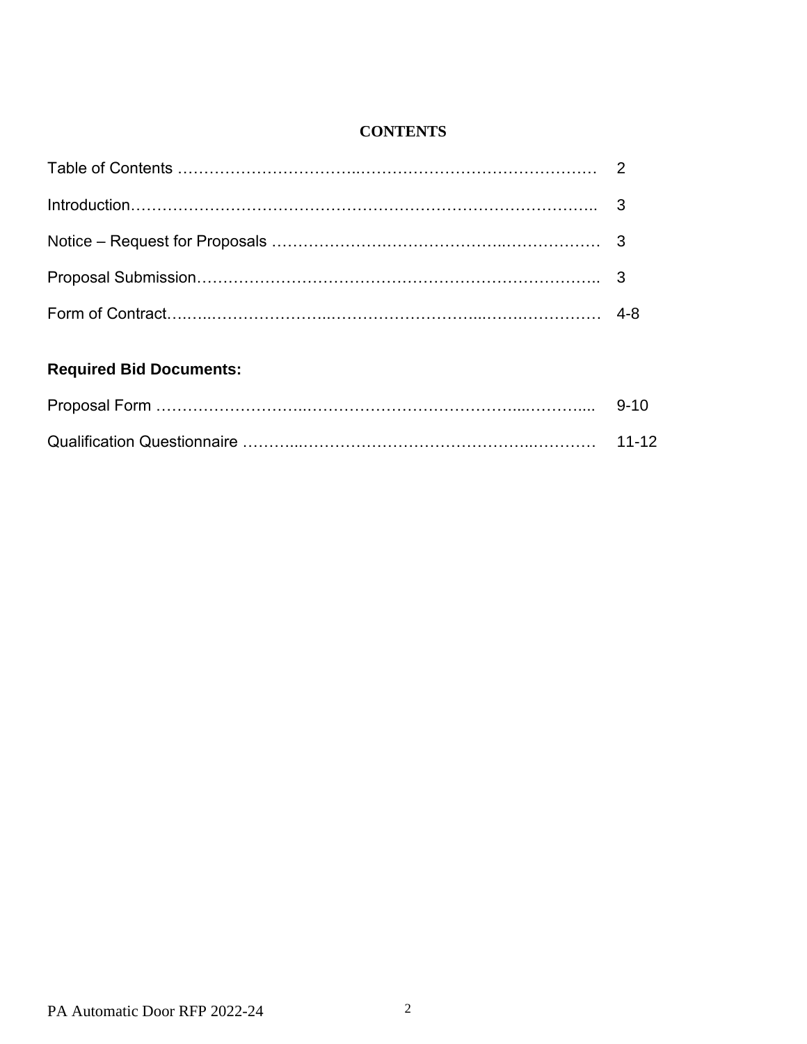## **CONTENTS**

## **Required Bid Documents:**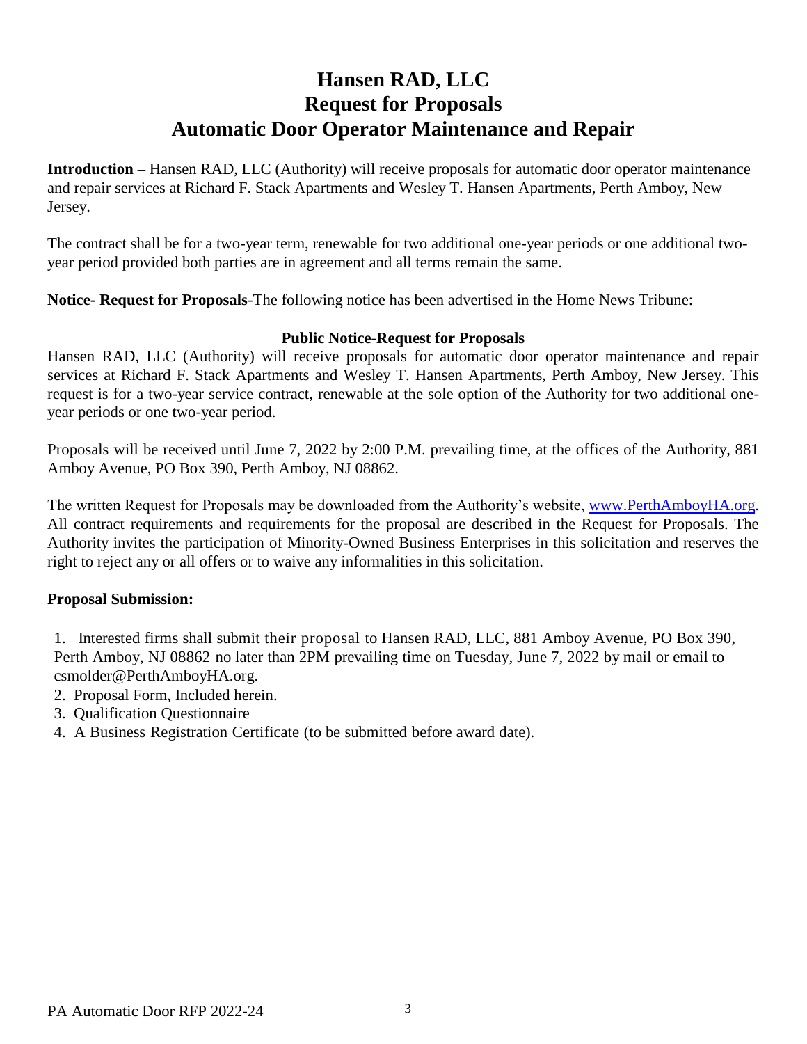# **Hansen RAD, LLC Request for Proposals Automatic Door Operator Maintenance and Repair**

**Introduction –** Hansen RAD, LLC (Authority) will receive proposals for automatic door operator maintenance and repair services at Richard F. Stack Apartments and Wesley T. Hansen Apartments, Perth Amboy, New Jersey.

The contract shall be for a two-year term, renewable for two additional one-year periods or one additional twoyear period provided both parties are in agreement and all terms remain the same.

**Notice- Request for Proposals**-The following notice has been advertised in the Home News Tribune:

#### **Public Notice-Request for Proposals**

Hansen RAD, LLC (Authority) will receive proposals for automatic door operator maintenance and repair services at Richard F. Stack Apartments and Wesley T. Hansen Apartments, Perth Amboy, New Jersey. This request is for a two-year service contract, renewable at the sole option of the Authority for two additional oneyear periods or one two-year period.

Proposals will be received until June 7, 2022 by 2:00 P.M. prevailing time, at the offices of the Authority, 881 Amboy Avenue, PO Box 390, Perth Amboy, NJ 08862.

The written Request for Proposals may be downloaded from the Authority's website, [www.PerthAmboyHA.org.](http://www.perthamboyha.org/) All contract requirements and requirements for the proposal are described in the Request for Proposals. The Authority invites the participation of Minority-Owned Business Enterprises in this solicitation and reserves the right to reject any or all offers or to waive any informalities in this solicitation.

### **Proposal Submission:**

1. Interested firms shall submit their proposal to Hansen RAD, LLC, 881 Amboy Avenue, PO Box 390, Perth Amboy, NJ 08862 no later than 2PM prevailing time on Tuesday, June 7, 2022 by mail or email to csmolder@PerthAmboyHA.org.

- 2. Proposal Form, Included herein.
- 3. Qualification Questionnaire
- 4. A Business Registration Certificate (to be submitted before award date).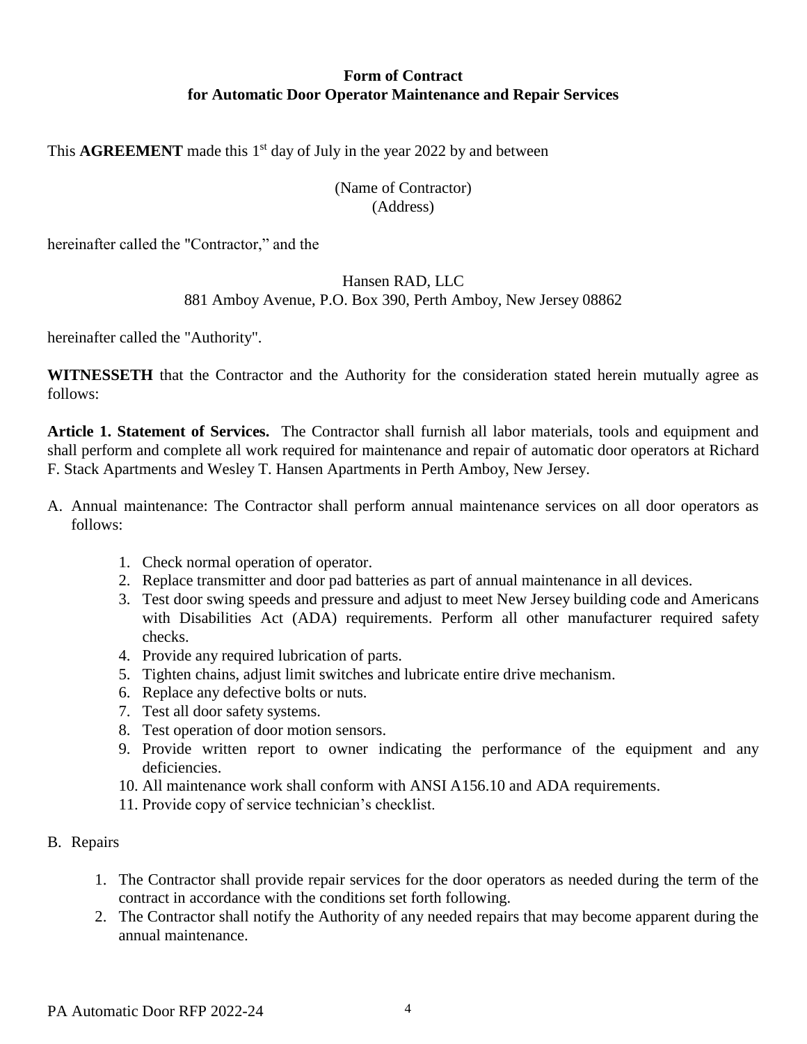### **Form of Contract for Automatic Door Operator Maintenance and Repair Services**

This  $AGREEMENT$  made this  $1<sup>st</sup>$  day of July in the year 2022 by and between

### (Name of Contractor) (Address)

hereinafter called the "Contractor," and the

#### Hansen RAD, LLC

### 881 Amboy Avenue, P.O. Box 390, Perth Amboy, New Jersey 08862

hereinafter called the "Authority".

**WITNESSETH** that the Contractor and the Authority for the consideration stated herein mutually agree as follows:

**Article 1. Statement of Services.** The Contractor shall furnish all labor materials, tools and equipment and shall perform and complete all work required for maintenance and repair of automatic door operators at Richard F. Stack Apartments and Wesley T. Hansen Apartments in Perth Amboy, New Jersey.

- A. Annual maintenance: The Contractor shall perform annual maintenance services on all door operators as follows:
	- 1. Check normal operation of operator.
	- 2. Replace transmitter and door pad batteries as part of annual maintenance in all devices.
	- 3. Test door swing speeds and pressure and adjust to meet New Jersey building code and Americans with Disabilities Act (ADA) requirements. Perform all other manufacturer required safety checks.
	- 4. Provide any required lubrication of parts.
	- 5. Tighten chains, adjust limit switches and lubricate entire drive mechanism.
	- 6. Replace any defective bolts or nuts.
	- 7. Test all door safety systems.
	- 8. Test operation of door motion sensors.
	- 9. Provide written report to owner indicating the performance of the equipment and any deficiencies.
	- 10. All maintenance work shall conform with ANSI A156.10 and ADA requirements.
	- 11. Provide copy of service technician's checklist.
- B. Repairs
	- 1. The Contractor shall provide repair services for the door operators as needed during the term of the contract in accordance with the conditions set forth following.
	- 2. The Contractor shall notify the Authority of any needed repairs that may become apparent during the annual maintenance.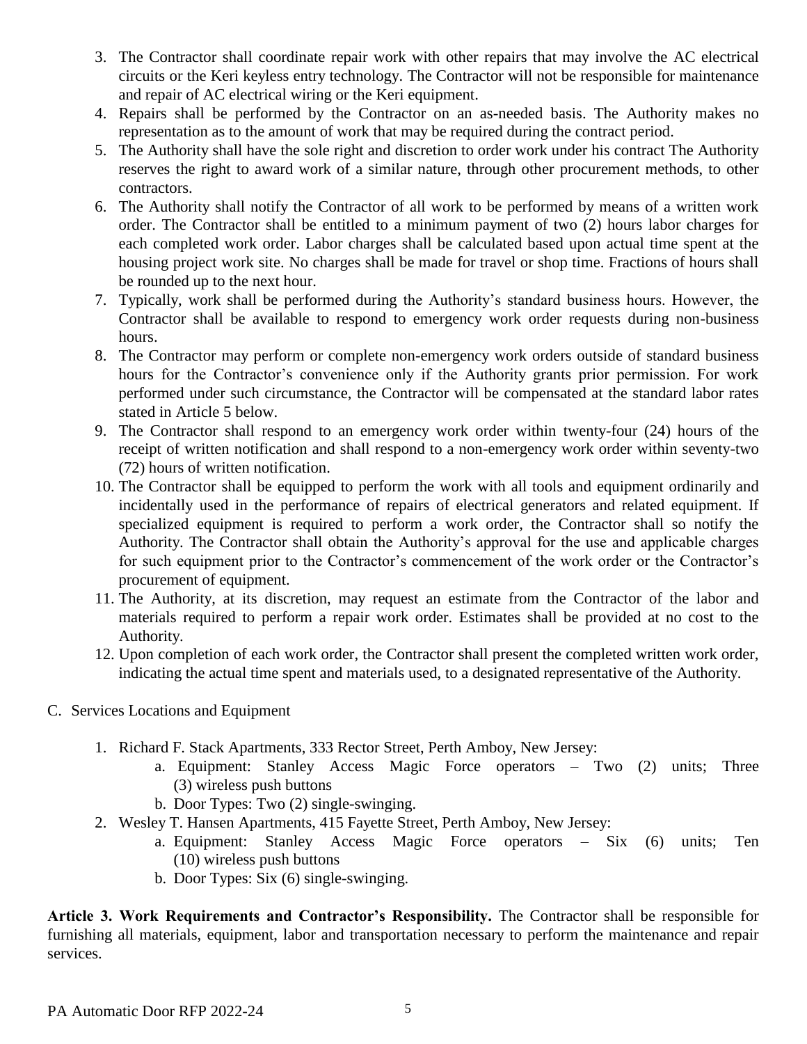- 3. The Contractor shall coordinate repair work with other repairs that may involve the AC electrical circuits or the Keri keyless entry technology. The Contractor will not be responsible for maintenance and repair of AC electrical wiring or the Keri equipment.
- 4. Repairs shall be performed by the Contractor on an as-needed basis. The Authority makes no representation as to the amount of work that may be required during the contract period.
- 5. The Authority shall have the sole right and discretion to order work under his contract The Authority reserves the right to award work of a similar nature, through other procurement methods, to other contractors.
- 6. The Authority shall notify the Contractor of all work to be performed by means of a written work order. The Contractor shall be entitled to a minimum payment of two (2) hours labor charges for each completed work order. Labor charges shall be calculated based upon actual time spent at the housing project work site. No charges shall be made for travel or shop time. Fractions of hours shall be rounded up to the next hour.
- 7. Typically, work shall be performed during the Authority's standard business hours. However, the Contractor shall be available to respond to emergency work order requests during non-business hours.
- 8. The Contractor may perform or complete non-emergency work orders outside of standard business hours for the Contractor's convenience only if the Authority grants prior permission. For work performed under such circumstance, the Contractor will be compensated at the standard labor rates stated in Article 5 below.
- 9. The Contractor shall respond to an emergency work order within twenty-four (24) hours of the receipt of written notification and shall respond to a non-emergency work order within seventy-two (72) hours of written notification.
- 10. The Contractor shall be equipped to perform the work with all tools and equipment ordinarily and incidentally used in the performance of repairs of electrical generators and related equipment. If specialized equipment is required to perform a work order, the Contractor shall so notify the Authority. The Contractor shall obtain the Authority's approval for the use and applicable charges for such equipment prior to the Contractor's commencement of the work order or the Contractor's procurement of equipment.
- 11. The Authority, at its discretion, may request an estimate from the Contractor of the labor and materials required to perform a repair work order. Estimates shall be provided at no cost to the Authority.
- 12. Upon completion of each work order, the Contractor shall present the completed written work order, indicating the actual time spent and materials used, to a designated representative of the Authority.
- C. Services Locations and Equipment
	- 1. Richard F. Stack Apartments, 333 Rector Street, Perth Amboy, New Jersey:
		- a. Equipment: Stanley Access Magic Force operators Two (2) units; Three (3) wireless push buttons
		- b. Door Types: Two (2) single-swinging.
	- 2. Wesley T. Hansen Apartments, 415 Fayette Street, Perth Amboy, New Jersey:
		- a. Equipment: Stanley Access Magic Force operators Six (6) units; Ten (10) wireless push buttons
		- b. Door Types: Six (6) single-swinging.

**Article 3. Work Requirements and Contractor's Responsibility.** The Contractor shall be responsible for furnishing all materials, equipment, labor and transportation necessary to perform the maintenance and repair services.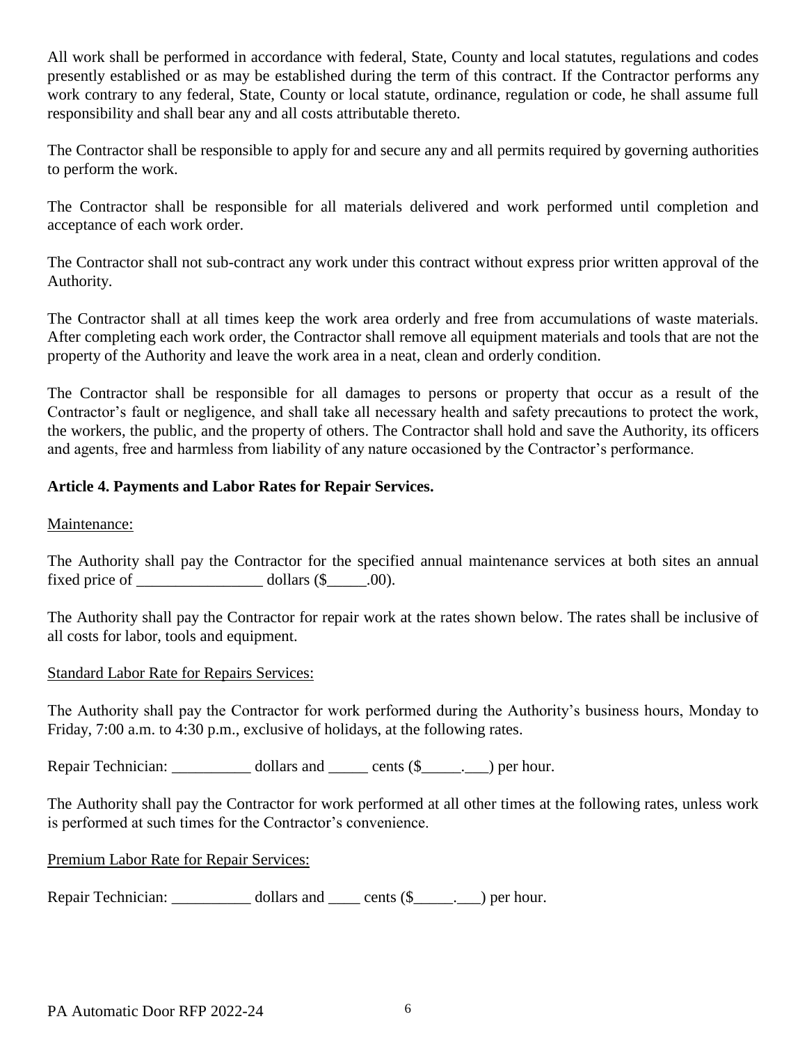All work shall be performed in accordance with federal, State, County and local statutes, regulations and codes presently established or as may be established during the term of this contract. If the Contractor performs any work contrary to any federal, State, County or local statute, ordinance, regulation or code, he shall assume full responsibility and shall bear any and all costs attributable thereto.

The Contractor shall be responsible to apply for and secure any and all permits required by governing authorities to perform the work.

The Contractor shall be responsible for all materials delivered and work performed until completion and acceptance of each work order.

The Contractor shall not sub-contract any work under this contract without express prior written approval of the Authority.

The Contractor shall at all times keep the work area orderly and free from accumulations of waste materials. After completing each work order, the Contractor shall remove all equipment materials and tools that are not the property of the Authority and leave the work area in a neat, clean and orderly condition.

The Contractor shall be responsible for all damages to persons or property that occur as a result of the Contractor's fault or negligence, and shall take all necessary health and safety precautions to protect the work, the workers, the public, and the property of others. The Contractor shall hold and save the Authority, its officers and agents, free and harmless from liability of any nature occasioned by the Contractor's performance.

### **Article 4. Payments and Labor Rates for Repair Services.**

Maintenance:

The Authority shall pay the Contractor for the specified annual maintenance services at both sites an annual fixed price of  $\qquad \qquad$  dollars  $(\$ \qquad \qquad .00).$ 

The Authority shall pay the Contractor for repair work at the rates shown below. The rates shall be inclusive of all costs for labor, tools and equipment.

#### Standard Labor Rate for Repairs Services:

The Authority shall pay the Contractor for work performed during the Authority's business hours, Monday to Friday, 7:00 a.m. to 4:30 p.m., exclusive of holidays, at the following rates.

Repair Technician: \_\_\_\_\_\_\_\_\_\_\_ dollars and \_\_\_\_\_\_ cents (\$\_\_\_\_\_. \_\_) per hour.

The Authority shall pay the Contractor for work performed at all other times at the following rates, unless work is performed at such times for the Contractor's convenience.

#### Premium Labor Rate for Repair Services:

Repair Technician: \_\_\_\_\_\_\_\_\_\_\_ dollars and \_\_\_\_\_ cents (\$\_\_\_\_\_. \_\_) per hour.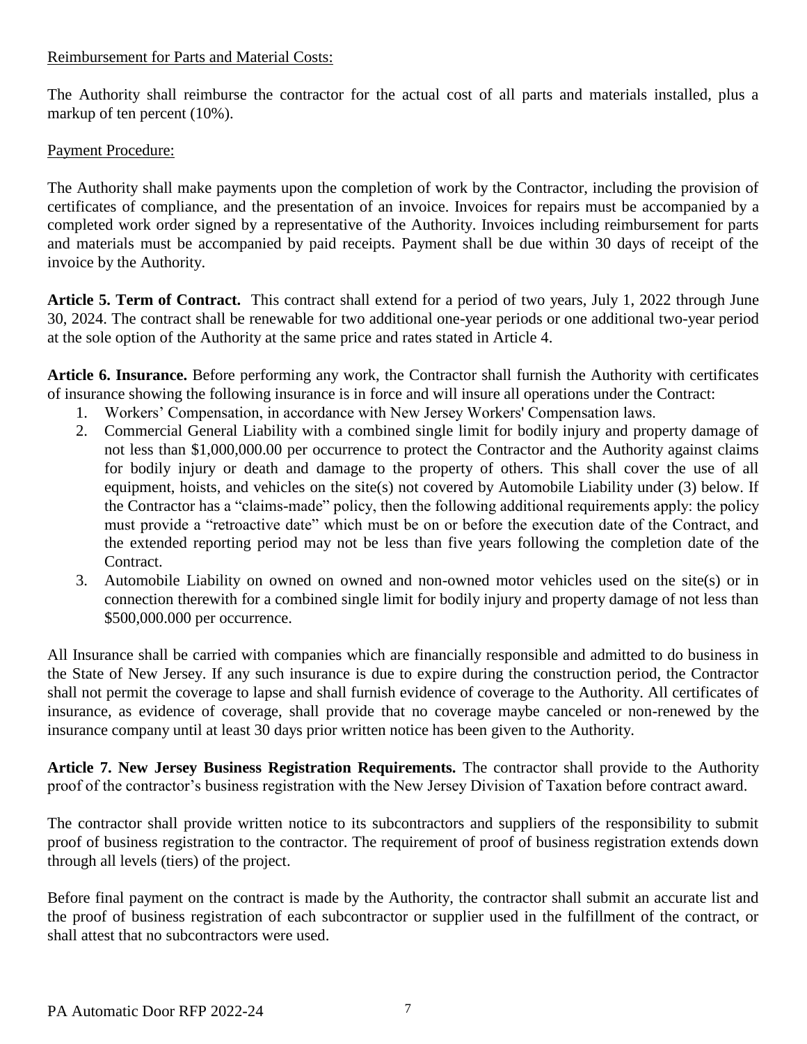### Reimbursement for Parts and Material Costs:

The Authority shall reimburse the contractor for the actual cost of all parts and materials installed, plus a markup of ten percent (10%).

### Payment Procedure:

The Authority shall make payments upon the completion of work by the Contractor, including the provision of certificates of compliance, and the presentation of an invoice. Invoices for repairs must be accompanied by a completed work order signed by a representative of the Authority. Invoices including reimbursement for parts and materials must be accompanied by paid receipts. Payment shall be due within 30 days of receipt of the invoice by the Authority.

**Article 5. Term of Contract.** This contract shall extend for a period of two years, July 1, 2022 through June 30, 2024. The contract shall be renewable for two additional one-year periods or one additional two-year period at the sole option of the Authority at the same price and rates stated in Article 4.

**Article 6. Insurance.** Before performing any work, the Contractor shall furnish the Authority with certificates of insurance showing the following insurance is in force and will insure all operations under the Contract:

- 1. Workers' Compensation, in accordance with New Jersey Workers' Compensation laws.
- 2. Commercial General Liability with a combined single limit for bodily injury and property damage of not less than \$1,000,000.00 per occurrence to protect the Contractor and the Authority against claims for bodily injury or death and damage to the property of others. This shall cover the use of all equipment, hoists, and vehicles on the site(s) not covered by Automobile Liability under (3) below. If the Contractor has a "claims-made" policy, then the following additional requirements apply: the policy must provide a "retroactive date" which must be on or before the execution date of the Contract, and the extended reporting period may not be less than five years following the completion date of the Contract.
- 3. Automobile Liability on owned on owned and non-owned motor vehicles used on the site(s) or in connection therewith for a combined single limit for bodily injury and property damage of not less than \$500,000.000 per occurrence.

All Insurance shall be carried with companies which are financially responsible and admitted to do business in the State of New Jersey. If any such insurance is due to expire during the construction period, the Contractor shall not permit the coverage to lapse and shall furnish evidence of coverage to the Authority. All certificates of insurance, as evidence of coverage, shall provide that no coverage maybe canceled or non-renewed by the insurance company until at least 30 days prior written notice has been given to the Authority.

**Article 7. New Jersey Business Registration Requirements.** The contractor shall provide to the Authority proof of the contractor's business registration with the New Jersey Division of Taxation before contract award.

The contractor shall provide written notice to its subcontractors and suppliers of the responsibility to submit proof of business registration to the contractor. The requirement of proof of business registration extends down through all levels (tiers) of the project.

Before final payment on the contract is made by the Authority, the contractor shall submit an accurate list and the proof of business registration of each subcontractor or supplier used in the fulfillment of the contract, or shall attest that no subcontractors were used.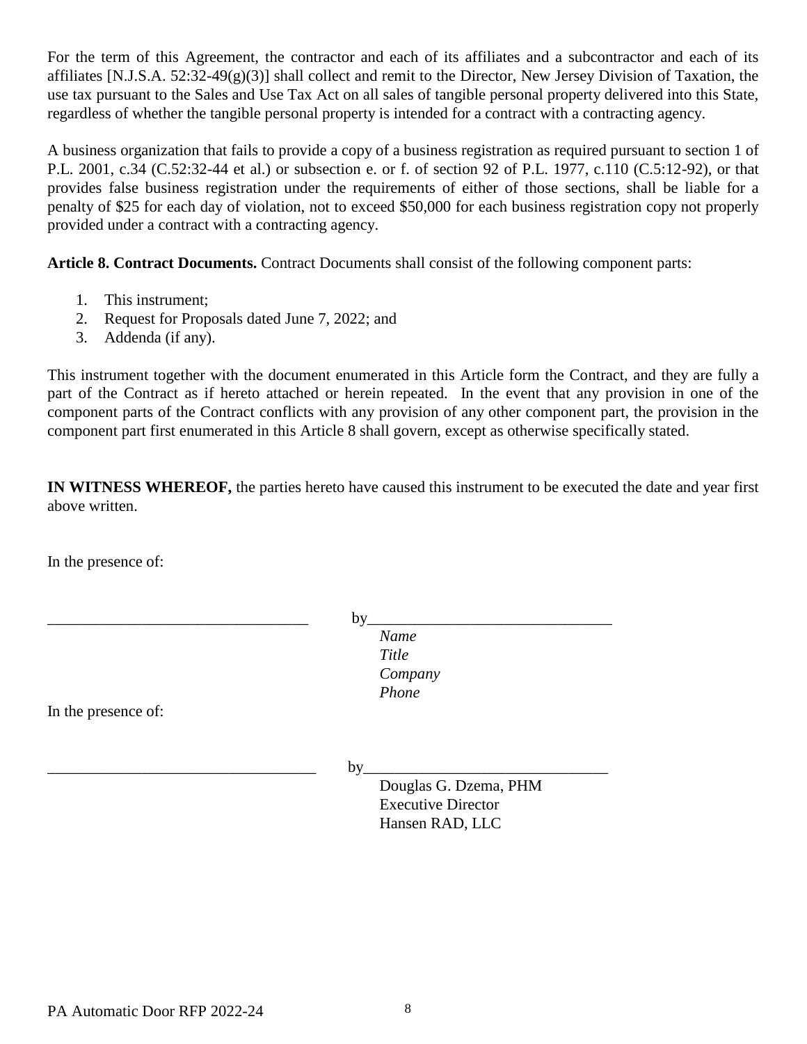For the term of this Agreement, the contractor and each of its affiliates and a subcontractor and each of its affiliates [N.J.S.A. 52:32-49(g)(3)] shall collect and remit to the Director, New Jersey Division of Taxation, the use tax pursuant to the Sales and Use Tax Act on all sales of tangible personal property delivered into this State, regardless of whether the tangible personal property is intended for a contract with a contracting agency.

A business organization that fails to provide a copy of a business registration as required pursuant to section 1 of P.L. 2001, c.34 (C.52:32-44 et al.) or subsection e. or f. of section 92 of P.L. 1977, c.110 (C.5:12-92), or that provides false business registration under the requirements of either of those sections, shall be liable for a penalty of \$25 for each day of violation, not to exceed \$50,000 for each business registration copy not properly provided under a contract with a contracting agency.

**Article 8. Contract Documents.** Contract Documents shall consist of the following component parts:

- 1. This instrument;
- 2. Request for Proposals dated June 7, 2022; and
- 3. Addenda (if any).

This instrument together with the document enumerated in this Article form the Contract, and they are fully a part of the Contract as if hereto attached or herein repeated. In the event that any provision in one of the component parts of the Contract conflicts with any provision of any other component part, the provision in the component part first enumerated in this Article 8 shall govern, except as otherwise specifically stated.

**IN WITNESS WHEREOF,** the parties hereto have caused this instrument to be executed the date and year first above written.

In the presence of:

\_\_\_\_\_\_\_\_\_\_\_\_\_\_\_\_\_\_\_\_\_\_\_\_\_\_\_\_\_\_\_\_\_ by\_\_\_\_\_\_\_\_\_\_\_\_\_\_\_\_\_\_\_\_\_\_\_\_\_\_\_\_\_\_\_

 *Name Title Company Phone*

In the presence of:

\_\_\_\_\_\_\_\_\_\_\_\_\_\_\_\_\_\_\_\_\_\_\_\_\_\_\_\_\_\_\_\_\_\_ by\_\_\_\_\_\_\_\_\_\_\_\_\_\_\_\_\_\_\_\_\_\_\_\_\_\_\_\_\_\_\_

Douglas G. Dzema, PHM Executive Director Hansen RAD, LLC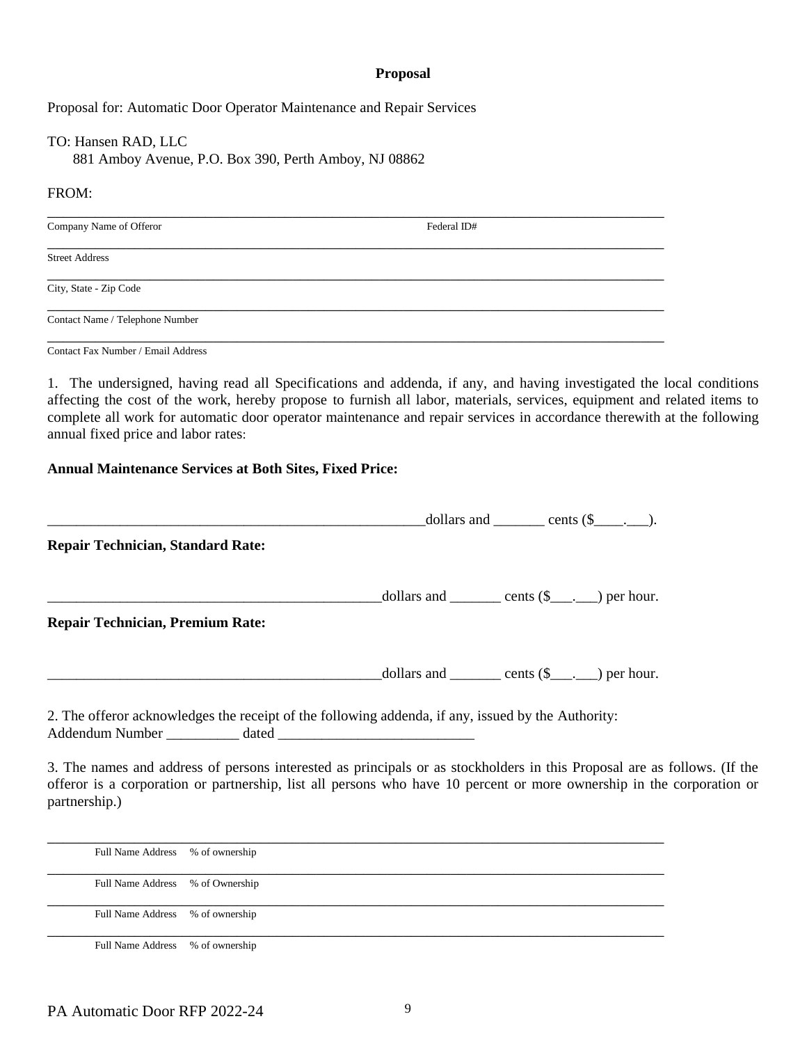#### **Proposal**

Proposal for: Automatic Door Operator Maintenance and Repair Services

TO: Hansen RAD, LLC 881 Amboy Avenue, P.O. Box 390, Perth Amboy, NJ 08862

#### FROM:

| Federal ID# |  |
|-------------|--|
|             |  |
|             |  |
|             |  |
|             |  |

Contact Fax Number / Email Address

1. The undersigned, having read all Specifications and addenda, if any, and having investigated the local conditions affecting the cost of the work, hereby propose to furnish all labor, materials, services, equipment and related items to complete all work for automatic door operator maintenance and repair services in accordance therewith at the following annual fixed price and labor rates:

#### **Annual Maintenance Services at Both Sites, Fixed Price:**

|                                                                                                                                | dollars and _______ cents $(\$                                                 |
|--------------------------------------------------------------------------------------------------------------------------------|--------------------------------------------------------------------------------|
| <b>Repair Technician, Standard Rate:</b>                                                                                       |                                                                                |
|                                                                                                                                | $\text{\_dollars and}\_\_\_\_\_\$ cents $(\text{\$}\_\_\_\_\_\_\_\)$ per hour. |
| <b>Repair Technician, Premium Rate:</b>                                                                                        |                                                                                |
|                                                                                                                                | $\text{\_}dollars$ and $\text{\_}$ cents $(\$ \_\_\_\_\_\_\)$ per hour.        |
| 2. The offeror acknowledges the receipt of the following addenda, if any, issued by the Authority:<br>Addendum Number<br>dated |                                                                                |

3. The names and address of persons interested as principals or as stockholders in this Proposal are as follows. (If the offeror is a corporation or partnership, list all persons who have 10 percent or more ownership in the corporation or partnership.)

| Full Name Address % of ownership |  |
|----------------------------------|--|
| Full Name Address % of Ownership |  |
| Full Name Address % of ownership |  |
| Full Name Address % of ownership |  |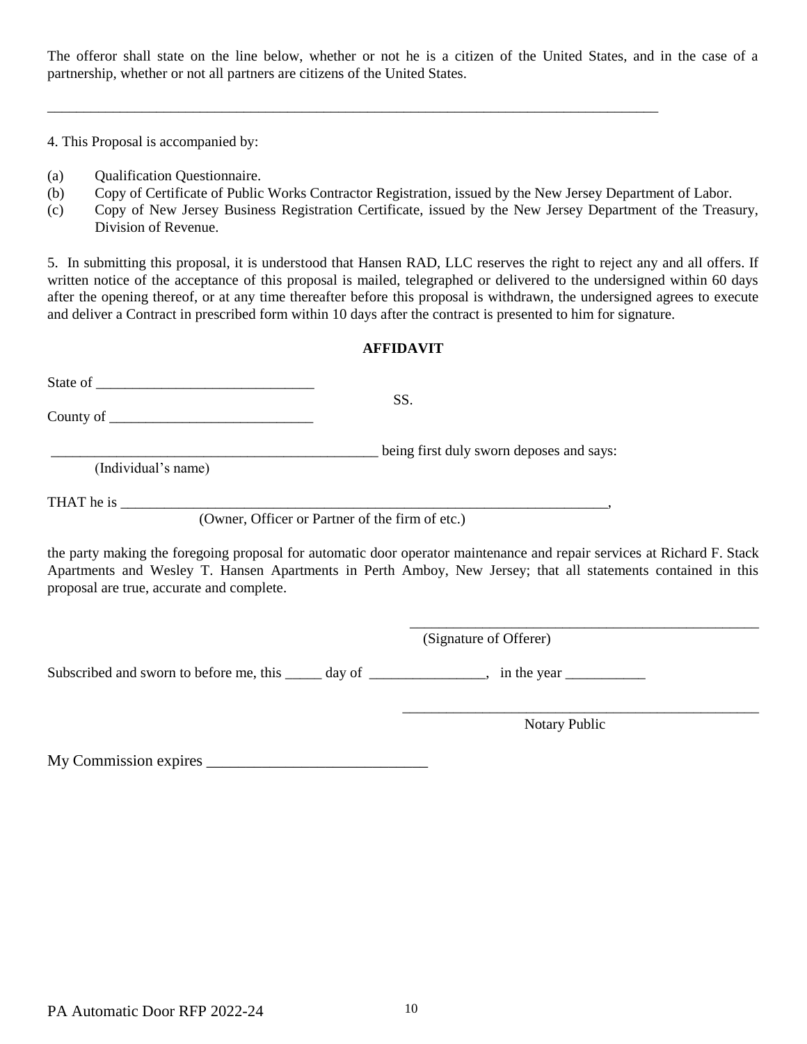The offeror shall state on the line below, whether or not he is a citizen of the United States, and in the case of a partnership, whether or not all partners are citizens of the United States.

\_\_\_\_\_\_\_\_\_\_\_\_\_\_\_\_\_\_\_\_\_\_\_\_\_\_\_\_\_\_\_\_\_\_\_\_\_\_\_\_\_\_\_\_\_\_\_\_\_\_\_\_\_\_\_\_\_\_\_\_\_\_\_\_\_\_\_\_\_\_\_\_\_\_\_\_\_\_\_\_\_\_\_\_

4. This Proposal is accompanied by:

- (a) Qualification Questionnaire.
- (b) Copy of Certificate of Public Works Contractor Registration, issued by the New Jersey Department of Labor.
- (c) Copy of New Jersey Business Registration Certificate, issued by the New Jersey Department of the Treasury, Division of Revenue.

5. In submitting this proposal, it is understood that Hansen RAD, LLC reserves the right to reject any and all offers. If written notice of the acceptance of this proposal is mailed, telegraphed or delivered to the undersigned within 60 days after the opening thereof, or at any time thereafter before this proposal is withdrawn, the undersigned agrees to execute and deliver a Contract in prescribed form within 10 days after the contract is presented to him for signature.

#### **AFFIDAVIT**

|                     | SS.                                                                                                         |
|---------------------|-------------------------------------------------------------------------------------------------------------|
| (Individual's name) | being first duly sworn deposes and says:                                                                    |
|                     | (Owner, Officer or Partner of the firm of etc.)                                                             |
|                     | the party making the foregoing proposal for automatic door operator maintenance and repair services at Rich |

the party making the foregoing proposal for automatic door operator maintenance and repair services at Richard F. Stack Apartments and Wesley T. Hansen Apartments in Perth Amboy, New Jersey; that all statements contained in this proposal are true, accurate and complete.

(Signature of Offerer)

Subscribed and sworn to before me, this \_\_\_\_\_ day of \_\_\_\_\_\_\_\_\_\_\_\_, in the year \_\_\_\_\_\_\_\_\_\_\_\_

Notary Public

\_\_\_\_\_\_\_\_\_\_\_\_\_\_\_\_\_\_\_\_\_\_\_\_\_\_\_\_\_\_\_\_\_\_\_\_\_\_\_\_\_\_\_\_\_\_\_\_\_

\_\_\_\_\_\_\_\_\_\_\_\_\_\_\_\_\_\_\_\_\_\_\_\_\_\_\_\_\_\_\_\_\_\_\_\_\_\_\_\_\_\_\_\_\_\_\_\_

My Commission expires \_\_\_\_\_\_\_\_\_\_\_\_\_\_\_\_\_\_\_\_\_\_\_\_\_\_\_\_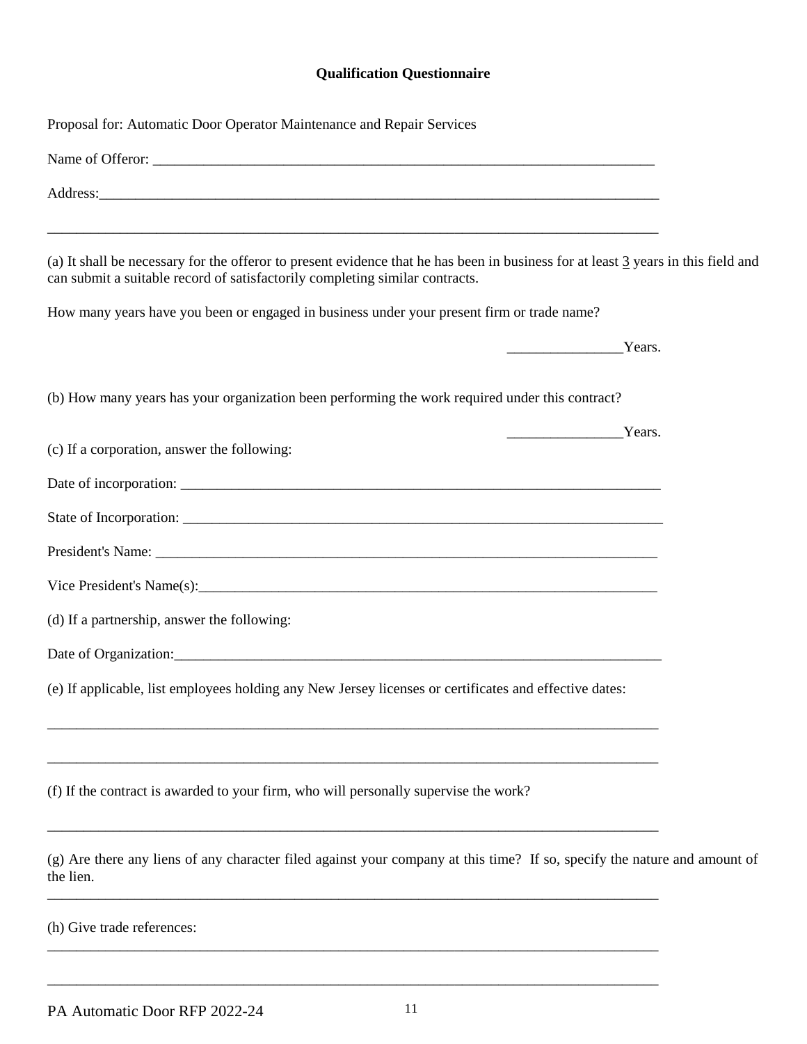## **Qualification Questionnaire**

| Name of Offeror:<br>Address: and the contract of the contract of the contract of the contract of the contract of the contract of the contract of the contract of the contract of the contract of the contract of the contract of the contract of t<br>(a) It shall be necessary for the offeror to present evidence that he has been in business for at least 3 years in this field and<br>can submit a suitable record of satisfactorily completing similar contracts.<br>How many years have you been or engaged in business under your present firm or trade name?<br>Years.<br>(b) How many years has your organization been performing the work required under this contract?<br>$\frac{1}{\sqrt{1-\frac{1}{2}}\sqrt{1-\frac{1}{2}}\sqrt{1-\frac{1}{2}}\sqrt{1-\frac{1}{2}}\sqrt{1-\frac{1}{2}}\sqrt{1-\frac{1}{2}}\sqrt{1-\frac{1}{2}}\sqrt{1-\frac{1}{2}}\sqrt{1-\frac{1}{2}}\sqrt{1-\frac{1}{2}}\sqrt{1-\frac{1}{2}}\sqrt{1-\frac{1}{2}}\sqrt{1-\frac{1}{2}}\sqrt{1-\frac{1}{2}}\sqrt{1-\frac{1}{2}}\sqrt{1-\frac{1}{2}}\sqrt{1-\frac{1}{2}}\sqrt{1-\frac{1}{2}}\sqrt{1-\frac{1}{2}}\sqrt{1-\frac$<br>(c) If a corporation, answer the following:<br>(d) If a partnership, answer the following:<br>(e) If applicable, list employees holding any New Jersey licenses or certificates and effective dates:<br>(f) If the contract is awarded to your firm, who will personally supervise the work? | Proposal for: Automatic Door Operator Maintenance and Repair Services                                                     |
|------------------------------------------------------------------------------------------------------------------------------------------------------------------------------------------------------------------------------------------------------------------------------------------------------------------------------------------------------------------------------------------------------------------------------------------------------------------------------------------------------------------------------------------------------------------------------------------------------------------------------------------------------------------------------------------------------------------------------------------------------------------------------------------------------------------------------------------------------------------------------------------------------------------------------------------------------------------------------------------------------------------------------------------------------------------------------------------------------------------------------------------------------------------------------------------------------------------------------------------------------------------------------------------------------------------------------------------------------------------------------------------------------------|---------------------------------------------------------------------------------------------------------------------------|
|                                                                                                                                                                                                                                                                                                                                                                                                                                                                                                                                                                                                                                                                                                                                                                                                                                                                                                                                                                                                                                                                                                                                                                                                                                                                                                                                                                                                            |                                                                                                                           |
|                                                                                                                                                                                                                                                                                                                                                                                                                                                                                                                                                                                                                                                                                                                                                                                                                                                                                                                                                                                                                                                                                                                                                                                                                                                                                                                                                                                                            |                                                                                                                           |
|                                                                                                                                                                                                                                                                                                                                                                                                                                                                                                                                                                                                                                                                                                                                                                                                                                                                                                                                                                                                                                                                                                                                                                                                                                                                                                                                                                                                            |                                                                                                                           |
|                                                                                                                                                                                                                                                                                                                                                                                                                                                                                                                                                                                                                                                                                                                                                                                                                                                                                                                                                                                                                                                                                                                                                                                                                                                                                                                                                                                                            |                                                                                                                           |
|                                                                                                                                                                                                                                                                                                                                                                                                                                                                                                                                                                                                                                                                                                                                                                                                                                                                                                                                                                                                                                                                                                                                                                                                                                                                                                                                                                                                            |                                                                                                                           |
|                                                                                                                                                                                                                                                                                                                                                                                                                                                                                                                                                                                                                                                                                                                                                                                                                                                                                                                                                                                                                                                                                                                                                                                                                                                                                                                                                                                                            |                                                                                                                           |
|                                                                                                                                                                                                                                                                                                                                                                                                                                                                                                                                                                                                                                                                                                                                                                                                                                                                                                                                                                                                                                                                                                                                                                                                                                                                                                                                                                                                            |                                                                                                                           |
|                                                                                                                                                                                                                                                                                                                                                                                                                                                                                                                                                                                                                                                                                                                                                                                                                                                                                                                                                                                                                                                                                                                                                                                                                                                                                                                                                                                                            |                                                                                                                           |
|                                                                                                                                                                                                                                                                                                                                                                                                                                                                                                                                                                                                                                                                                                                                                                                                                                                                                                                                                                                                                                                                                                                                                                                                                                                                                                                                                                                                            |                                                                                                                           |
|                                                                                                                                                                                                                                                                                                                                                                                                                                                                                                                                                                                                                                                                                                                                                                                                                                                                                                                                                                                                                                                                                                                                                                                                                                                                                                                                                                                                            |                                                                                                                           |
|                                                                                                                                                                                                                                                                                                                                                                                                                                                                                                                                                                                                                                                                                                                                                                                                                                                                                                                                                                                                                                                                                                                                                                                                                                                                                                                                                                                                            |                                                                                                                           |
|                                                                                                                                                                                                                                                                                                                                                                                                                                                                                                                                                                                                                                                                                                                                                                                                                                                                                                                                                                                                                                                                                                                                                                                                                                                                                                                                                                                                            |                                                                                                                           |
|                                                                                                                                                                                                                                                                                                                                                                                                                                                                                                                                                                                                                                                                                                                                                                                                                                                                                                                                                                                                                                                                                                                                                                                                                                                                                                                                                                                                            |                                                                                                                           |
|                                                                                                                                                                                                                                                                                                                                                                                                                                                                                                                                                                                                                                                                                                                                                                                                                                                                                                                                                                                                                                                                                                                                                                                                                                                                                                                                                                                                            |                                                                                                                           |
|                                                                                                                                                                                                                                                                                                                                                                                                                                                                                                                                                                                                                                                                                                                                                                                                                                                                                                                                                                                                                                                                                                                                                                                                                                                                                                                                                                                                            |                                                                                                                           |
|                                                                                                                                                                                                                                                                                                                                                                                                                                                                                                                                                                                                                                                                                                                                                                                                                                                                                                                                                                                                                                                                                                                                                                                                                                                                                                                                                                                                            |                                                                                                                           |
|                                                                                                                                                                                                                                                                                                                                                                                                                                                                                                                                                                                                                                                                                                                                                                                                                                                                                                                                                                                                                                                                                                                                                                                                                                                                                                                                                                                                            |                                                                                                                           |
| the lien.                                                                                                                                                                                                                                                                                                                                                                                                                                                                                                                                                                                                                                                                                                                                                                                                                                                                                                                                                                                                                                                                                                                                                                                                                                                                                                                                                                                                  | (g) Are there any liens of any character filed against your company at this time? If so, specify the nature and amount of |
| (h) Give trade references:                                                                                                                                                                                                                                                                                                                                                                                                                                                                                                                                                                                                                                                                                                                                                                                                                                                                                                                                                                                                                                                                                                                                                                                                                                                                                                                                                                                 |                                                                                                                           |

\_\_\_\_\_\_\_\_\_\_\_\_\_\_\_\_\_\_\_\_\_\_\_\_\_\_\_\_\_\_\_\_\_\_\_\_\_\_\_\_\_\_\_\_\_\_\_\_\_\_\_\_\_\_\_\_\_\_\_\_\_\_\_\_\_\_\_\_\_\_\_\_\_\_\_\_\_\_\_\_\_\_\_\_